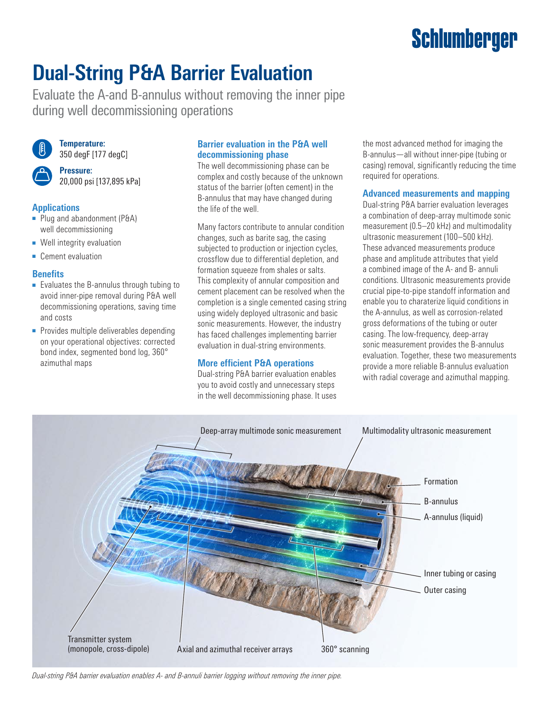# **Schlumberger**

## **Dual-String P&A Barrier Evaluation**

Evaluate the A-and B-annulus without removing the inner pipe during well decommissioning operations



**Temperature:** 350 degF [177 degC]

**Pressure:** 20,000 psi [137,895 kPa]

#### **Applications**

- Plug and abandonment (P&A) well decommissioning
- Well integrity evaluation
- Cement evaluation

#### **Benefits**

- Evaluates the B-annulus through tubing to avoid inner-pipe removal during P&A well decommissioning operations, saving time and costs
- Provides multiple deliverables depending on your operational objectives: corrected bond index, segmented bond log, 360° azimuthal maps

#### **Barrier evaluation in the P&A well decommissioning phase**

The well decommissioning phase can be complex and costly because of the unknown status of the barrier (often cement) in the B-annulus that may have changed during the life of the well.

Many factors contribute to annular condition changes, such as barite sag, the casing subjected to production or injection cycles, crossflow due to differential depletion, and formation squeeze from shales or salts. This complexity of annular composition and cement placement can be resolved when the completion is a single cemented casing string using widely deployed ultrasonic and basic sonic measurements. However, the industry has faced challenges implementing barrier evaluation in dual-string environments.

#### **More efficient P&A operations**

Dual-string P&A barrier evaluation enables you to avoid costly and unnecessary steps in the well decommissioning phase. It uses the most advanced method for imaging the B-annulus—all without inner-pipe (tubing or casing) removal, significantly reducing the time required for operations.

#### **Advanced measurements and mapping**

Dual-string P&A barrier evaluation leverages a combination of deep-array multimode sonic measurement (0.5–20 kHz) and multimodality ultrasonic measurement (100–500 kHz). These advanced measurements produce phase and amplitude attributes that yield a combined image of the A- and B- annuli conditions. Ultrasonic measurements provide crucial pipe-to-pipe standoff information and enable you to charaterize liquid conditions in the A-annulus, as well as corrosion-related gross deformations of the tubing or outer casing. The low-frequency, deep-array sonic measurement provides the B-annulus evaluation. Together, these two measurements provide a more reliable B-annulus evaluation with radial coverage and azimuthal mapping.



*Dual-string P&A barrier evaluation enables A- and B-annuli barrier logging without removing the inner pipe.*